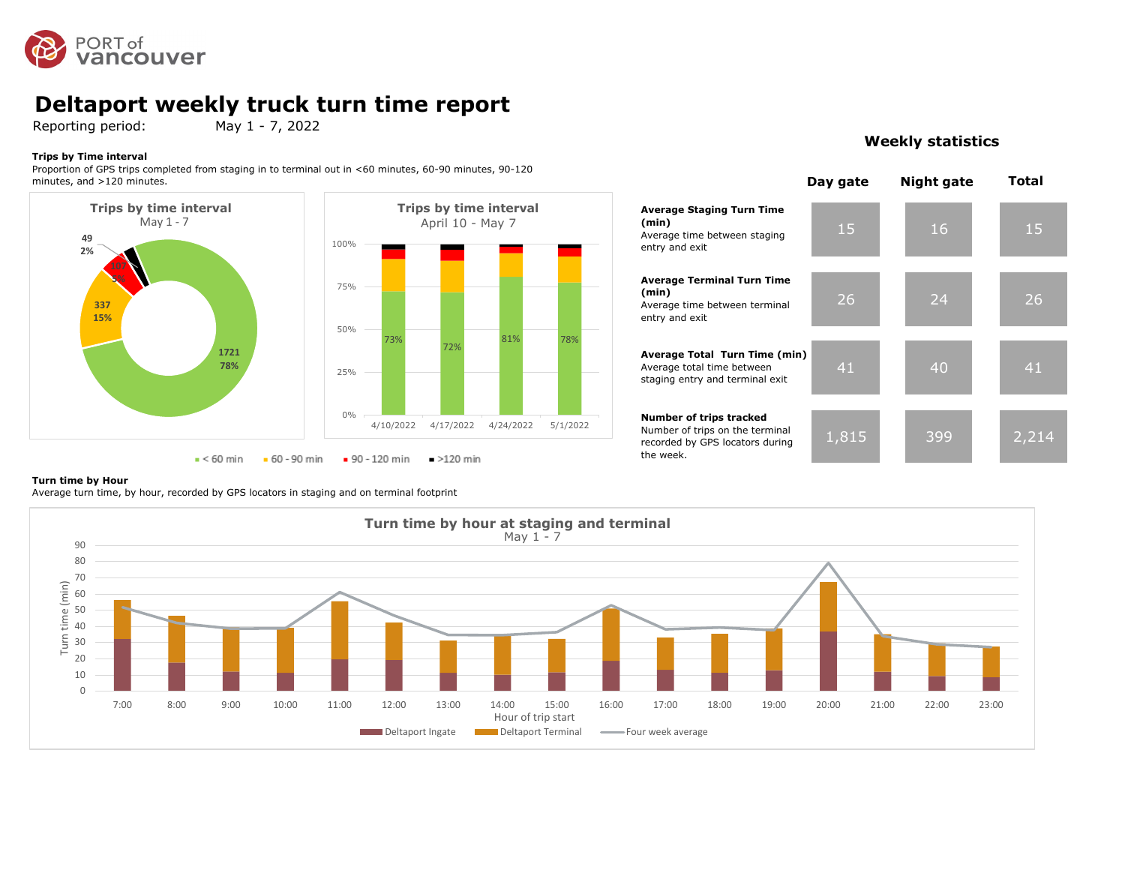

# **Deltaport weekly truck turn time report**<br>Reporting period: May 1 - 7, 2022

Reporting period:

#### **Trips by Time interval**

Proportion of GPS trips completed from staging in to terminal out in <60 minutes, 60-90 minutes, 90-120 minutes, and >120 minutes.





### **Weekly statistics**

|                                                                                                            | Day gate | <b>Night gate</b> | Total |
|------------------------------------------------------------------------------------------------------------|----------|-------------------|-------|
| <b>Average Staging Turn Time</b><br>(min)<br>Average time between staging<br>entry and exit                | 15       | 16                | 15    |
| <b>Average Terminal Turn Time</b><br>(min)<br>Average time between terminal<br>entry and exit              | 26       | 24                | 26    |
| Average Total Turn Time (min)<br>Average total time between<br>staging entry and terminal exit             | 41       | 40                | 41    |
| Number of trips tracked<br>Number of trips on the terminal<br>recorded by GPS locators during<br>the week. | 1,815    | 399               |       |

#### **Turn time by Hour**

Average turn time, by hour, recorded by GPS locators in staging and on terminal footprint

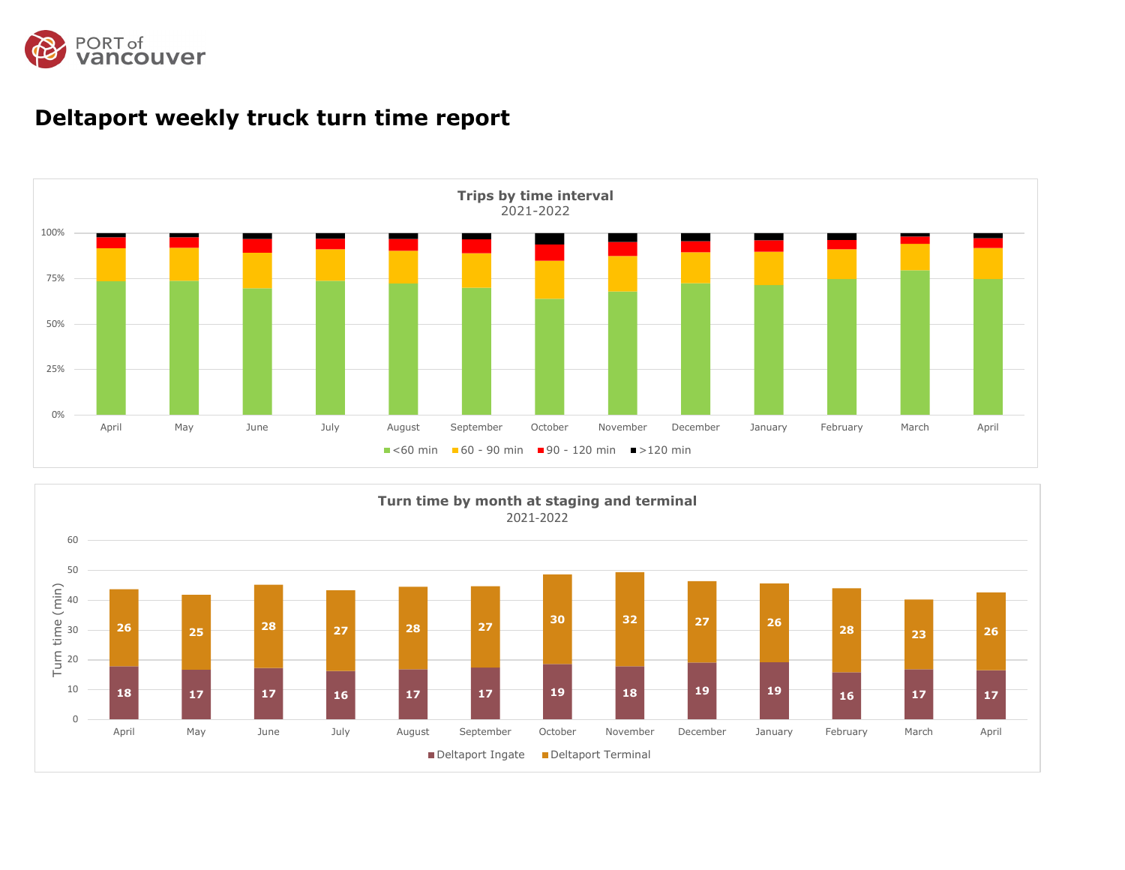



# **Deltaport weekly truck turn time report**

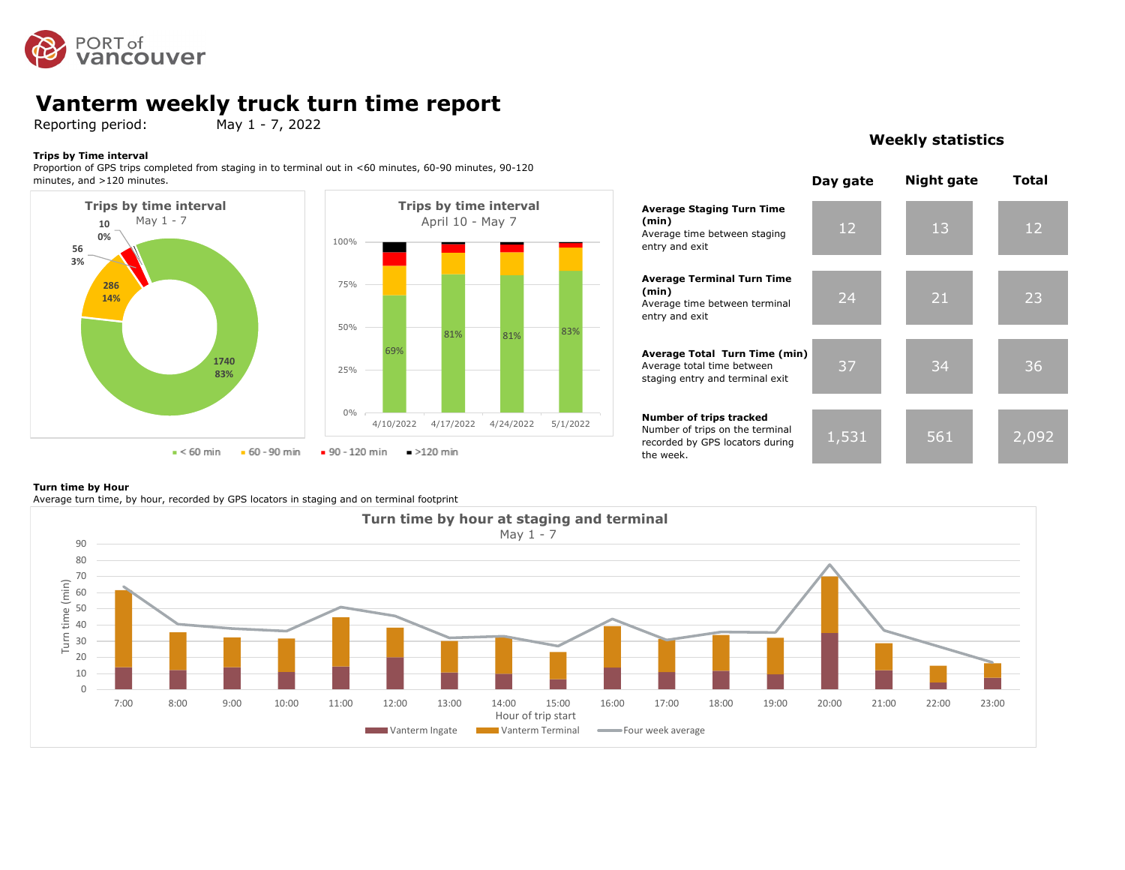

# **Vanterm weekly truck turn time report**<br>Reporting period: May 1 - 7, 2022

Reporting period:

#### **Trips by Time interval**

Proportion of GPS trips completed from staging in to terminal out in <60 minutes, 60-90 minutes, 90-120 minutes, and >120 minutes.



### **Weekly statistics**



#### **Turn time by Hour**

Average turn time, by hour, recorded by GPS locators in staging and on terminal footprint

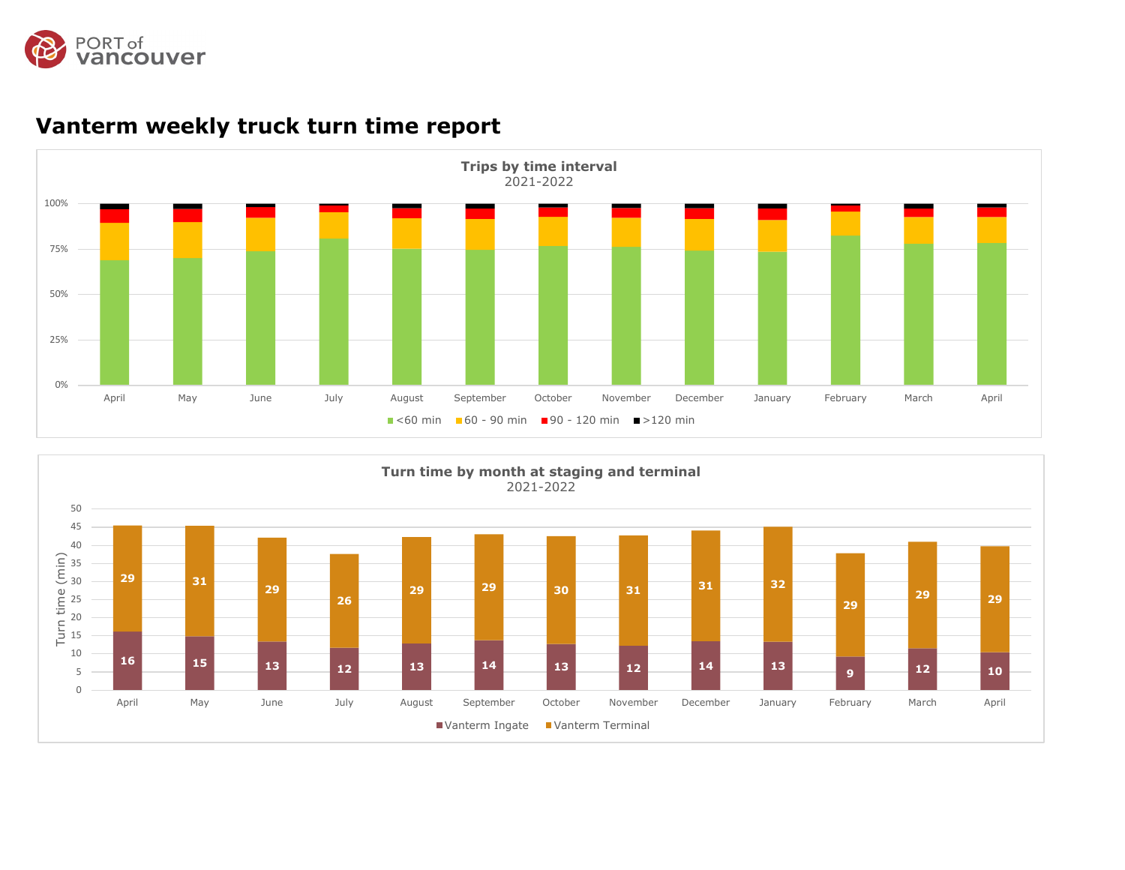



# **Vanterm weekly truck turn time report**

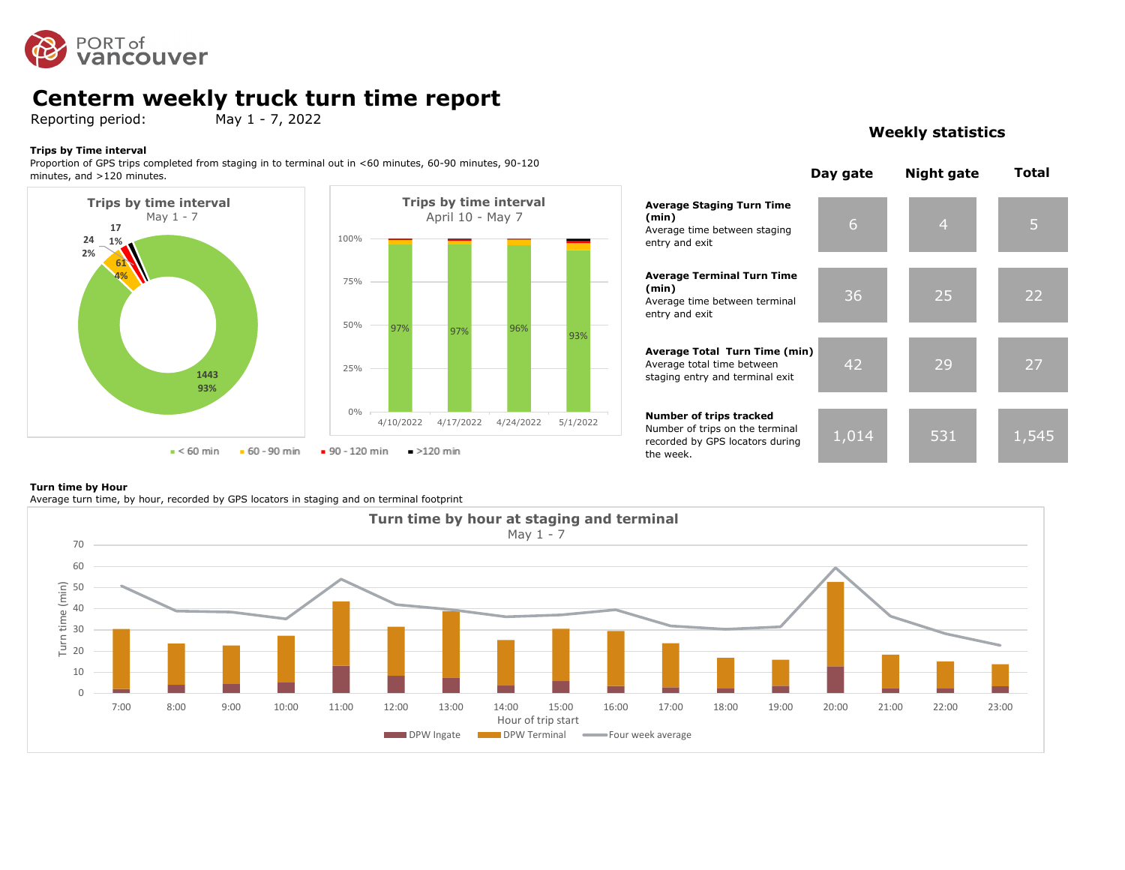

### **Centerm weekly truck turn time report**

Reporting period: May 1 - 7, 2022

#### **Trips by Time interval**

Proportion of GPS trips completed from staging in to terminal out in <60 minutes, 60-90 minutes, 90-120 minutes, and >120 minutes.





### **Weekly statistics**



#### **Turn time by Hour**

Average turn time, by hour, recorded by GPS locators in staging and on terminal footprint

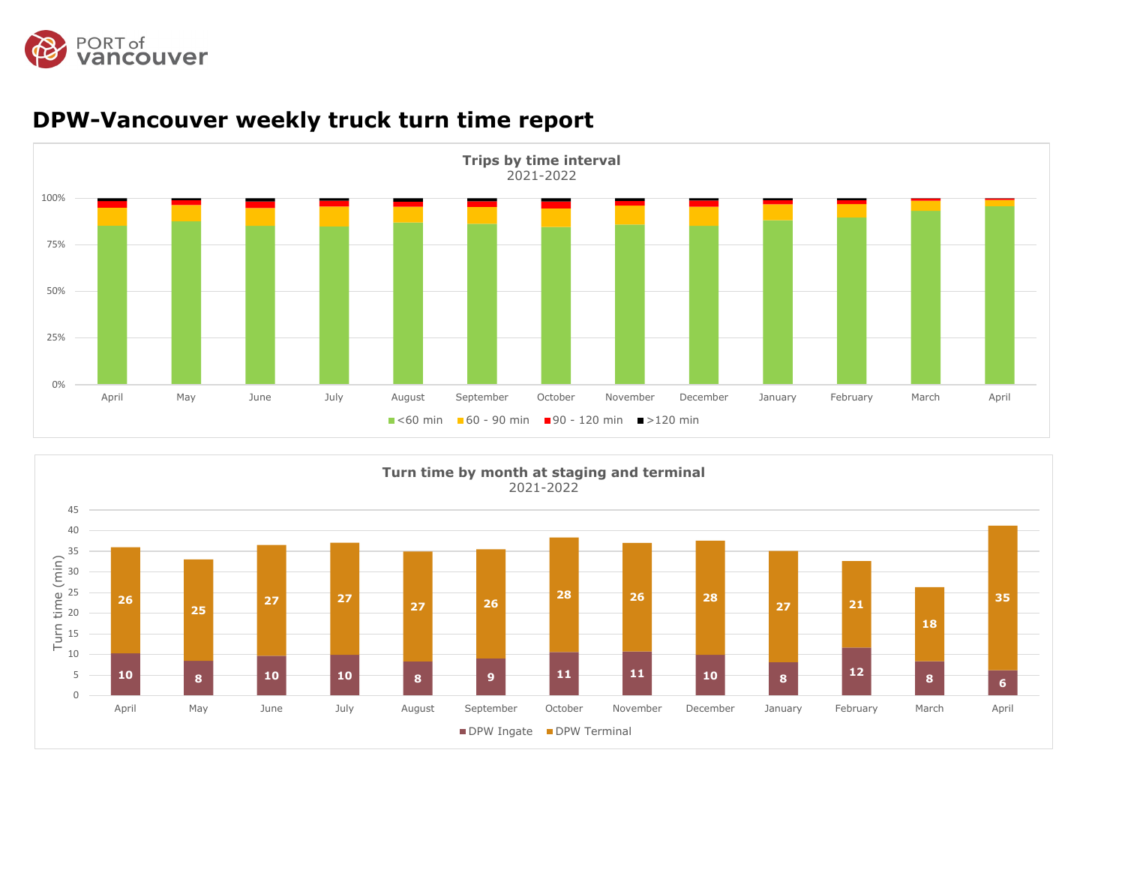



# **DPW-Vancouver weekly truck turn time report**

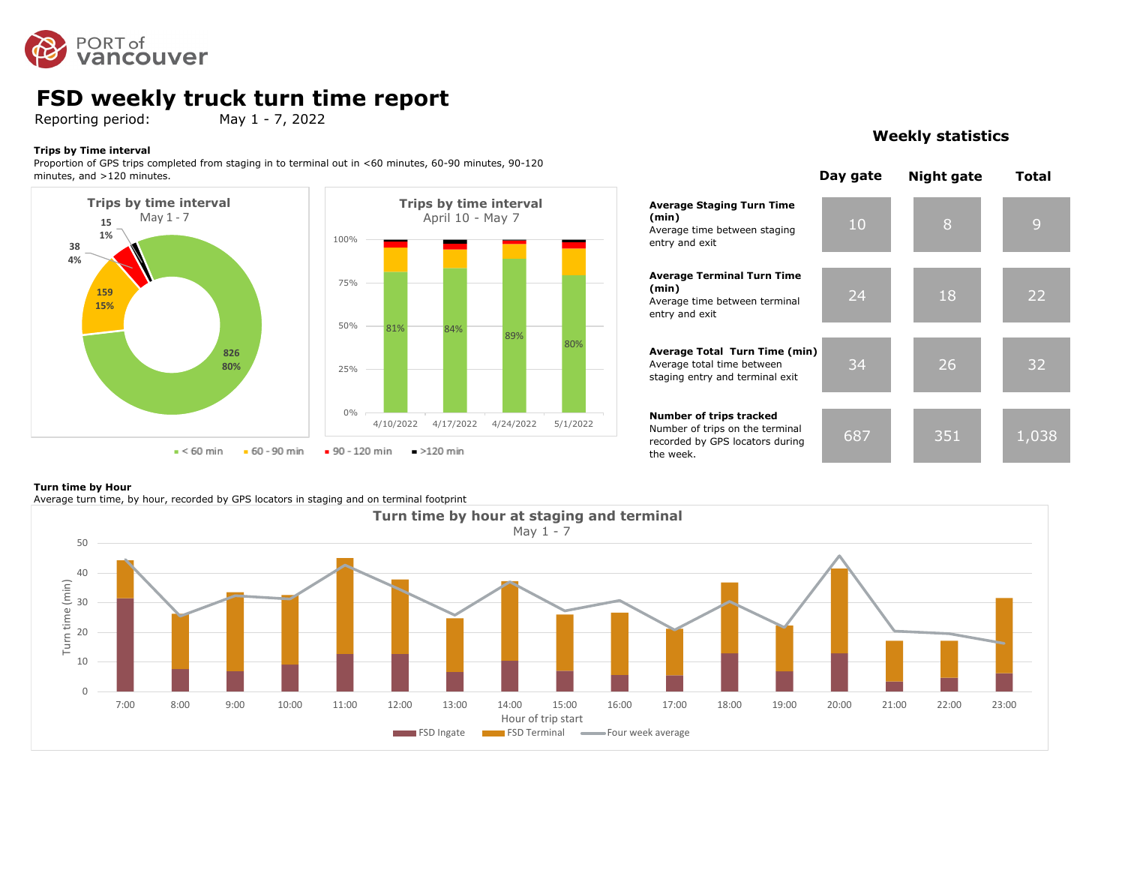

### **FSD weekly truck turn time report**

Reporting period: May 1 - 7, 2022

#### **Trips by Time interval**

Proportion of GPS trips completed from staging in to terminal out in <60 minutes, 60-90 minutes, 90-120 minutes, and >120 minutes.





### **Weekly statistics**

# **Turn time by Hour**